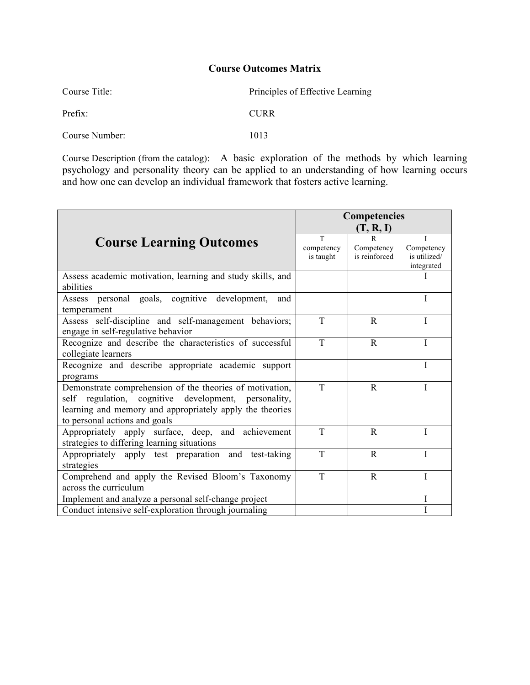| Course Title:  | Principles of Effective Learning |
|----------------|----------------------------------|
| Prefix:        | <b>CURR</b>                      |
| Course Number: | 1013                             |

Course Description (from the catalog): A basic exploration of the methods by which learning psychology and personality theory can be applied to an understanding of how learning occurs and how one can develop an individual framework that fosters active learning.

|                                                            | <b>Competencies</b> |                             |                            |  |
|------------------------------------------------------------|---------------------|-----------------------------|----------------------------|--|
|                                                            | (T, R, I)           |                             |                            |  |
| <b>Course Learning Outcomes</b>                            | T                   | R                           |                            |  |
|                                                            | competency          | Competency<br>is reinforced | Competency<br>is utilized/ |  |
|                                                            | is taught           |                             | integrated                 |  |
| Assess academic motivation, learning and study skills, and |                     |                             |                            |  |
| abilities                                                  |                     |                             |                            |  |
| Assess personal goals, cognitive development,<br>and       |                     |                             | I                          |  |
| temperament                                                |                     |                             |                            |  |
| Assess self-discipline and self-management behaviors;      | T                   | R                           | Ī                          |  |
| engage in self-regulative behavior                         |                     |                             |                            |  |
| Recognize and describe the characteristics of successful   | T                   | R                           | I                          |  |
| collegiate learners                                        |                     |                             |                            |  |
| Recognize and describe appropriate academic support        |                     |                             | I                          |  |
| programs                                                   |                     |                             |                            |  |
| Demonstrate comprehension of the theories of motivation,   | T                   | $\mathbb{R}$                |                            |  |
| regulation, cognitive development, personality,<br>self    |                     |                             |                            |  |
| learning and memory and appropriately apply the theories   |                     |                             |                            |  |
| to personal actions and goals                              |                     |                             |                            |  |
| Appropriately apply surface, deep, and achievement         | T                   | $\mathbb{R}$                |                            |  |
| strategies to differing learning situations                |                     |                             |                            |  |
| Appropriately apply test preparation and test-taking       | T                   | R                           | I                          |  |
| strategies                                                 |                     |                             |                            |  |
| Comprehend and apply the Revised Bloom's Taxonomy          | T                   | R                           |                            |  |
| across the curriculum                                      |                     |                             |                            |  |
| Implement and analyze a personal self-change project       |                     |                             | I                          |  |
| Conduct intensive self-exploration through journaling      |                     |                             |                            |  |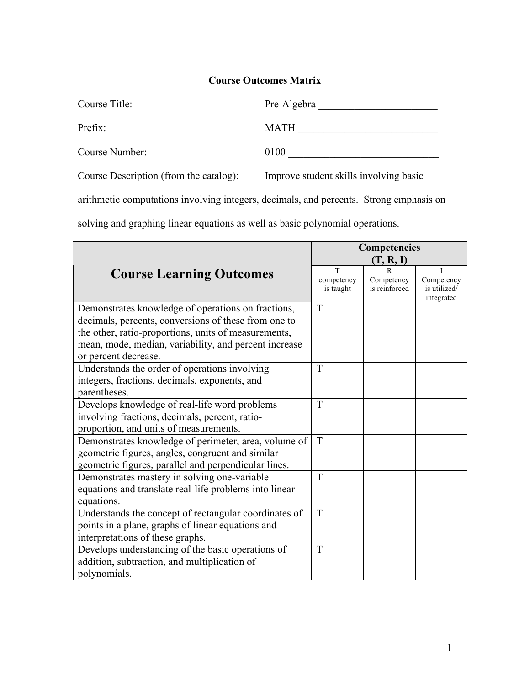| Course Title:  | Pre-Algebra |
|----------------|-------------|
| Prefix:        | <b>MATH</b> |
| Course Number: | 0100        |
|                |             |

Course Description (from the catalog): Improve student skills involving basic

arithmetic computations involving integers, decimals, and percents. Strong emphasis on

solving and graphing linear equations as well as basic polynomial operations.

|                                                        | Competencies |               |                            |  |
|--------------------------------------------------------|--------------|---------------|----------------------------|--|
|                                                        | (T, R, I)    |               |                            |  |
| <b>Course Learning Outcomes</b>                        | T            | R             |                            |  |
|                                                        | competency   | Competency    | Competency                 |  |
|                                                        | is taught    | is reinforced | is utilized/<br>integrated |  |
| Demonstrates knowledge of operations on fractions,     | T            |               |                            |  |
| decimals, percents, conversions of these from one to   |              |               |                            |  |
| the other, ratio-proportions, units of measurements,   |              |               |                            |  |
| mean, mode, median, variability, and percent increase  |              |               |                            |  |
| or percent decrease.                                   |              |               |                            |  |
| Understands the order of operations involving          | T            |               |                            |  |
| integers, fractions, decimals, exponents, and          |              |               |                            |  |
| parentheses.                                           |              |               |                            |  |
| Develops knowledge of real-life word problems          | T            |               |                            |  |
| involving fractions, decimals, percent, ratio-         |              |               |                            |  |
| proportion, and units of measurements.                 |              |               |                            |  |
| Demonstrates knowledge of perimeter, area, volume of   | T            |               |                            |  |
| geometric figures, angles, congruent and similar       |              |               |                            |  |
| geometric figures, parallel and perpendicular lines.   |              |               |                            |  |
| Demonstrates mastery in solving one-variable           | T            |               |                            |  |
| equations and translate real-life problems into linear |              |               |                            |  |
| equations.                                             |              |               |                            |  |
| Understands the concept of rectangular coordinates of  | T            |               |                            |  |
| points in a plane, graphs of linear equations and      |              |               |                            |  |
| interpretations of these graphs.                       |              |               |                            |  |
| Develops understanding of the basic operations of      | T            |               |                            |  |
| addition, subtraction, and multiplication of           |              |               |                            |  |
| polynomials.                                           |              |               |                            |  |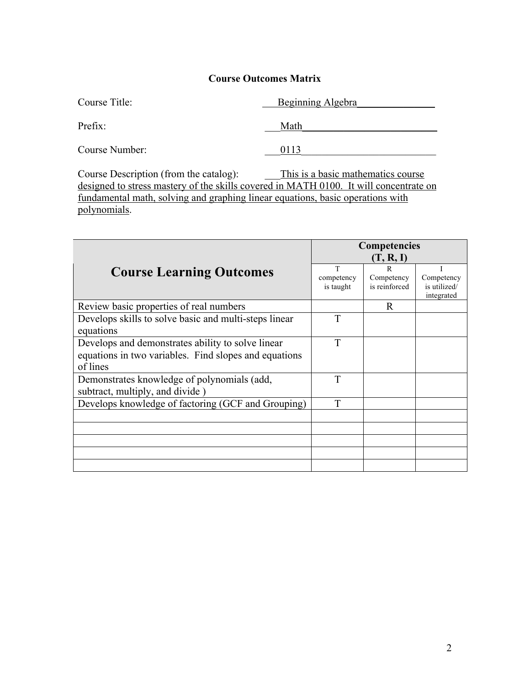| Course Title:  | <b>Beginning Algebra</b> |
|----------------|--------------------------|
| Prefix:        | Math                     |
| Course Number: | 9113                     |

Course Description (from the catalog): This is a basic mathematics course designed to stress mastery of the skills covered in MATH 0100. It will concentrate on fundamental math, solving and graphing linear equations, basic operations with polynomials.

|                                                                                                                        | <b>Competencies</b><br>(T, R, I) |                                  |                                          |  |
|------------------------------------------------------------------------------------------------------------------------|----------------------------------|----------------------------------|------------------------------------------|--|
| <b>Course Learning Outcomes</b>                                                                                        | T<br>competency<br>is taught     | R<br>Competency<br>is reinforced | Competency<br>is utilized/<br>integrated |  |
| Review basic properties of real numbers                                                                                |                                  | R                                |                                          |  |
| Develops skills to solve basic and multi-steps linear<br>equations                                                     | T                                |                                  |                                          |  |
| Develops and demonstrates ability to solve linear<br>equations in two variables. Find slopes and equations<br>of lines | T                                |                                  |                                          |  |
| Demonstrates knowledge of polynomials (add,<br>subtract, multiply, and divide)                                         | T                                |                                  |                                          |  |
| Develops knowledge of factoring (GCF and Grouping)                                                                     | T                                |                                  |                                          |  |
|                                                                                                                        |                                  |                                  |                                          |  |
|                                                                                                                        |                                  |                                  |                                          |  |
|                                                                                                                        |                                  |                                  |                                          |  |
|                                                                                                                        |                                  |                                  |                                          |  |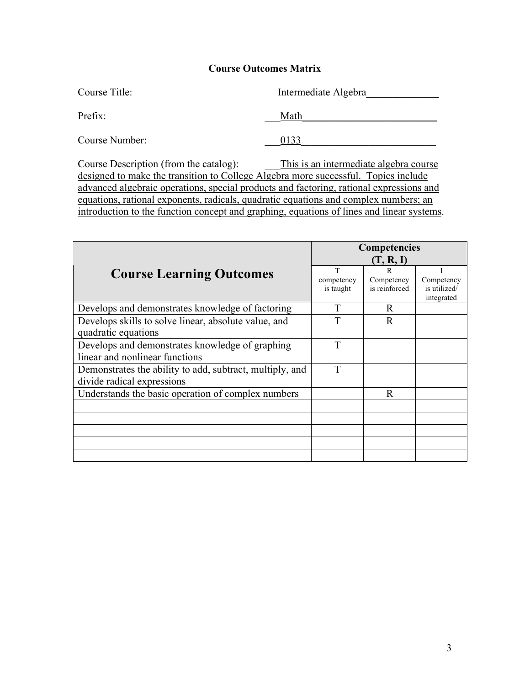| Course Title:  | Intermediate Algebra |
|----------------|----------------------|
| Prefix:        | Math                 |
| Course Number: | 0133                 |

Course Description (from the catalog): \_\_\_This is an intermediate algebra course designed to make the transition to College Algebra more successful. Topics include advanced algebraic operations, special products and factoring, rational expressions and equations, rational exponents, radicals, quadratic equations and complex numbers; an introduction to the function concept and graphing, equations of lines and linear systems.

|                                                          | Competencies |               |              |  |
|----------------------------------------------------------|--------------|---------------|--------------|--|
|                                                          | (T, R, I)    |               |              |  |
| <b>Course Learning Outcomes</b>                          | T            | $\mathbf R$   |              |  |
|                                                          | competency   | Competency    | Competency   |  |
|                                                          | is taught    | is reinforced | is utilized/ |  |
|                                                          |              |               | integrated   |  |
| Develops and demonstrates knowledge of factoring         | T            | $\mathbf R$   |              |  |
| Develops skills to solve linear, absolute value, and     | T            | $\mathbb{R}$  |              |  |
| quadratic equations                                      |              |               |              |  |
| Develops and demonstrates knowledge of graphing          | T            |               |              |  |
| linear and nonlinear functions                           |              |               |              |  |
| Demonstrates the ability to add, subtract, multiply, and | T            |               |              |  |
| divide radical expressions                               |              |               |              |  |
| Understands the basic operation of complex numbers       |              | R             |              |  |
|                                                          |              |               |              |  |
|                                                          |              |               |              |  |
|                                                          |              |               |              |  |
|                                                          |              |               |              |  |
|                                                          |              |               |              |  |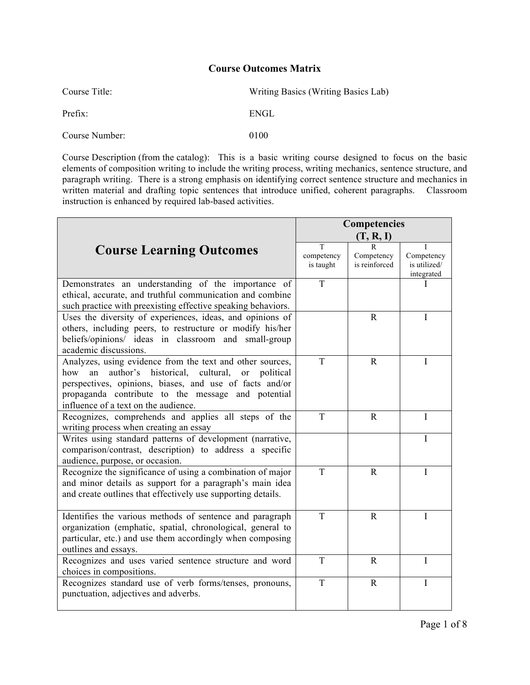| Course Title:  | Writing Basics (Writing Basics Lab) |
|----------------|-------------------------------------|
| Prefix:        | ENGL                                |
| Course Number: | 0100                                |

Course Description (from the catalog): This is a basic writing course designed to focus on the basic elements of composition writing to include the writing process, writing mechanics, sentence structure, and paragraph writing. There is a strong emphasis on identifying correct sentence structure and mechanics in written material and drafting topic sentences that introduce unified, coherent paragraphs. Classroom instruction is enhanced by required lab-based activities.

|                                                                                                                                                                                                                                                                                         | Competencies                 |                                  |                                                |
|-----------------------------------------------------------------------------------------------------------------------------------------------------------------------------------------------------------------------------------------------------------------------------------------|------------------------------|----------------------------------|------------------------------------------------|
|                                                                                                                                                                                                                                                                                         | (T, R, I)                    |                                  |                                                |
| <b>Course Learning Outcomes</b>                                                                                                                                                                                                                                                         | T<br>competency<br>is taught | R<br>Competency<br>is reinforced | Т.<br>Competency<br>is utilized/<br>integrated |
| Demonstrates an understanding of the importance of<br>ethical, accurate, and truthful communication and combine<br>such practice with preexisting effective speaking behaviors.                                                                                                         | T                            |                                  | I                                              |
| Uses the diversity of experiences, ideas, and opinions of<br>others, including peers, to restructure or modify his/her<br>beliefs/opinions/ ideas in classroom and small-group<br>academic discussions.                                                                                 |                              | $\mathbf R$                      | I                                              |
| Analyzes, using evidence from the text and other sources,<br>historical, cultural,<br>author's<br>how<br>an<br>or<br>political<br>perspectives, opinions, biases, and use of facts and/or<br>propaganda contribute to the message and potential<br>influence of a text on the audience. | $\mathbf T$                  | $\mathbf R$                      | I                                              |
| Recognizes, comprehends and applies all steps of the<br>writing process when creating an essay                                                                                                                                                                                          | T                            | $\mathbf{R}$                     | T                                              |
| Writes using standard patterns of development (narrative,<br>comparison/contrast, description) to address a specific<br>audience, purpose, or occasion.                                                                                                                                 |                              |                                  | I                                              |
| Recognize the significance of using a combination of major<br>and minor details as support for a paragraph's main idea<br>and create outlines that effectively use supporting details.                                                                                                  | T                            | $\mathbf R$                      | T                                              |
| Identifies the various methods of sentence and paragraph<br>organization (emphatic, spatial, chronological, general to<br>particular, etc.) and use them accordingly when composing<br>outlines and essays.                                                                             | T                            | $\mathbf R$                      | I                                              |
| Recognizes and uses varied sentence structure and word<br>choices in compositions.                                                                                                                                                                                                      | T                            | $\mathbf R$                      | I                                              |
| Recognizes standard use of verb forms/tenses, pronouns,<br>punctuation, adjectives and adverbs.                                                                                                                                                                                         | T                            | $\mathbf R$                      | I                                              |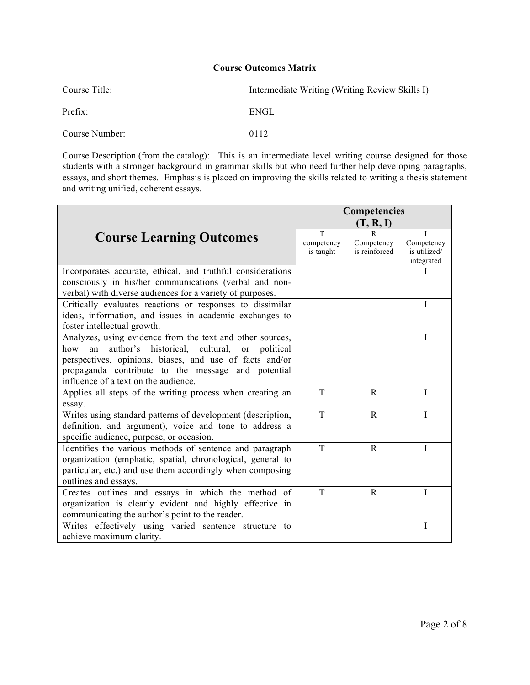| Course Title:  | Intermediate Writing (Writing Review Skills I) |
|----------------|------------------------------------------------|
| Prefix:        | ENGL                                           |
| Course Number: | 0112                                           |

Course Description (from the catalog): This is an intermediate level writing course designed for those students with a stronger background in grammar skills but who need further help developing paragraphs, essays, and short themes. Emphasis is placed on improving the skills related to writing a thesis statement and writing unified, coherent essays.

|                                                                   | Competencies<br>(T, R, I) |               |              |  |
|-------------------------------------------------------------------|---------------------------|---------------|--------------|--|
|                                                                   | T                         | $\mathbf R$   | Ι            |  |
| <b>Course Learning Outcomes</b>                                   | competency                | Competency    | Competency   |  |
|                                                                   | is taught                 | is reinforced | is utilized/ |  |
|                                                                   |                           |               | integrated   |  |
| Incorporates accurate, ethical, and truthful considerations       |                           |               |              |  |
| consciously in his/her communications (verbal and non-            |                           |               |              |  |
| verbal) with diverse audiences for a variety of purposes.         |                           |               |              |  |
| Critically evaluates reactions or responses to dissimilar         |                           |               | I            |  |
| ideas, information, and issues in academic exchanges to           |                           |               |              |  |
| foster intellectual growth.                                       |                           |               |              |  |
| Analyzes, using evidence from the text and other sources,         |                           |               | I            |  |
| author's historical,<br>cultural,<br>how<br>an<br>political<br>or |                           |               |              |  |
| perspectives, opinions, biases, and use of facts and/or           |                           |               |              |  |
| propaganda contribute to the message and potential                |                           |               |              |  |
| influence of a text on the audience.                              |                           |               |              |  |
| Applies all steps of the writing process when creating an         | T                         | $\mathbf R$   | I            |  |
| essay.                                                            |                           |               |              |  |
| Writes using standard patterns of development (description,       | T                         | $\mathbf{R}$  | T            |  |
| definition, and argument), voice and tone to address a            |                           |               |              |  |
| specific audience, purpose, or occasion.                          |                           |               |              |  |
| Identifies the various methods of sentence and paragraph          | T                         | $\mathbf R$   | I            |  |
| organization (emphatic, spatial, chronological, general to        |                           |               |              |  |
| particular, etc.) and use them accordingly when composing         |                           |               |              |  |
| outlines and essays.                                              |                           |               |              |  |
| Creates outlines and essays in which the method<br>of             | T                         | $\mathbf R$   | I            |  |
| organization is clearly evident and highly effective<br>in        |                           |               |              |  |
| communicating the author's point to the reader.                   |                           |               |              |  |
| Writes effectively using varied sentence structure<br>to          |                           |               | I            |  |
| achieve maximum clarity.                                          |                           |               |              |  |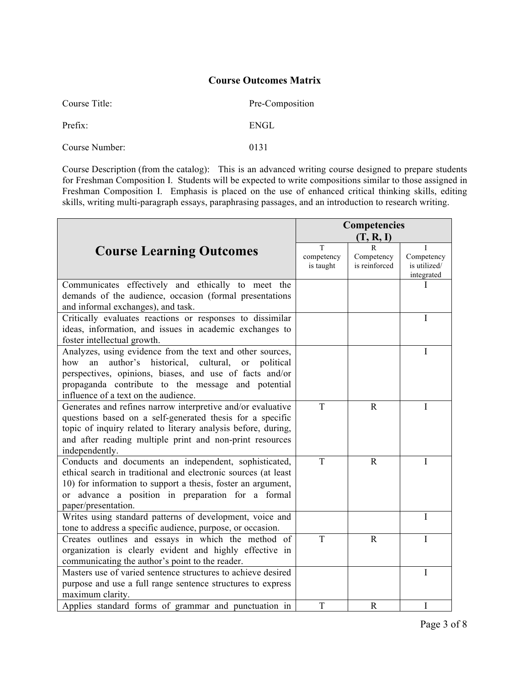| Course Title:  | Pre-Composition |  |  |
|----------------|-----------------|--|--|
| Prefix:        | ENGL            |  |  |
| Course Number: | 0131            |  |  |

Course Description (from the catalog): This is an advanced writing course designed to prepare students for Freshman Composition I. Students will be expected to write compositions similar to those assigned in Freshman Composition I. Emphasis is placed on the use of enhanced critical thinking skills, editing skills, writing multi-paragraph essays, paraphrasing passages, and an introduction to research writing.

|                                                                                                                                                                                                                                                                                                | Competencies                 |                                            |                                               |
|------------------------------------------------------------------------------------------------------------------------------------------------------------------------------------------------------------------------------------------------------------------------------------------------|------------------------------|--------------------------------------------|-----------------------------------------------|
|                                                                                                                                                                                                                                                                                                | (T, R, I)                    |                                            |                                               |
| <b>Course Learning Outcomes</b>                                                                                                                                                                                                                                                                | T<br>competency<br>is taught | $\mathbf R$<br>Competency<br>is reinforced | Τ<br>Competency<br>is utilized/<br>integrated |
| Communicates effectively and ethically to meet the<br>demands of the audience, occasion (formal presentations<br>and informal exchanges), and task.                                                                                                                                            |                              |                                            |                                               |
| Critically evaluates reactions or responses to dissimilar<br>ideas, information, and issues in academic exchanges to<br>foster intellectual growth.                                                                                                                                            |                              |                                            | I                                             |
| Analyzes, using evidence from the text and other sources,<br>author's<br>historical, cultural,<br>how<br>an<br><b>or</b><br>political<br>perspectives, opinions, biases, and use of facts and/or<br>propaganda contribute to the message and potential<br>influence of a text on the audience. |                              |                                            | I                                             |
| Generates and refines narrow interpretive and/or evaluative<br>questions based on a self-generated thesis for a specific<br>topic of inquiry related to literary analysis before, during,<br>and after reading multiple print and non-print resources<br>independently.                        | T                            | $\mathbf R$                                | I                                             |
| Conducts and documents an independent, sophisticated,<br>ethical search in traditional and electronic sources (at least<br>10) for information to support a thesis, foster an argument,<br>or advance a position in preparation for a formal<br>paper/presentation.                            | T                            | $\mathbf R$                                | I                                             |
| Writes using standard patterns of development, voice and<br>tone to address a specific audience, purpose, or occasion.                                                                                                                                                                         |                              |                                            | I                                             |
| Creates outlines and essays in which the method of<br>organization is clearly evident and highly effective in<br>communicating the author's point to the reader.                                                                                                                               | T                            | $\mathbb{R}$                               | I                                             |
| Masters use of varied sentence structures to achieve desired<br>purpose and use a full range sentence structures to express<br>maximum clarity.                                                                                                                                                |                              |                                            | I                                             |
| Applies standard forms of grammar and punctuation in                                                                                                                                                                                                                                           | T                            | $\mathbf R$                                | I                                             |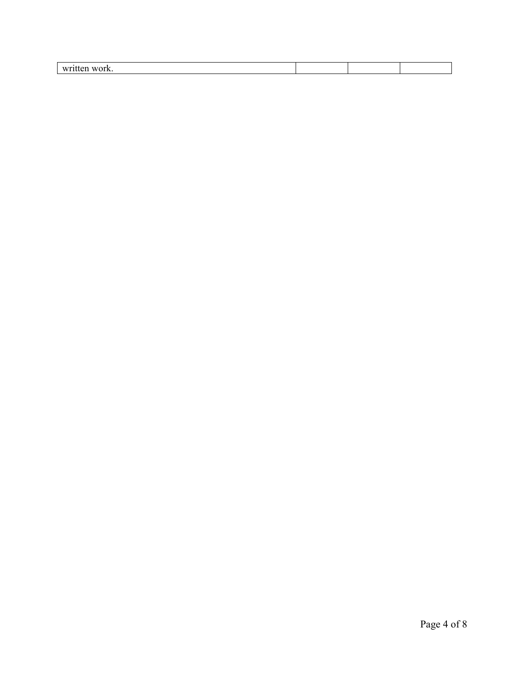| ---<br>1 A<br>,,<br>. іх<br>.<br>. |  |  |
|------------------------------------|--|--|
|                                    |  |  |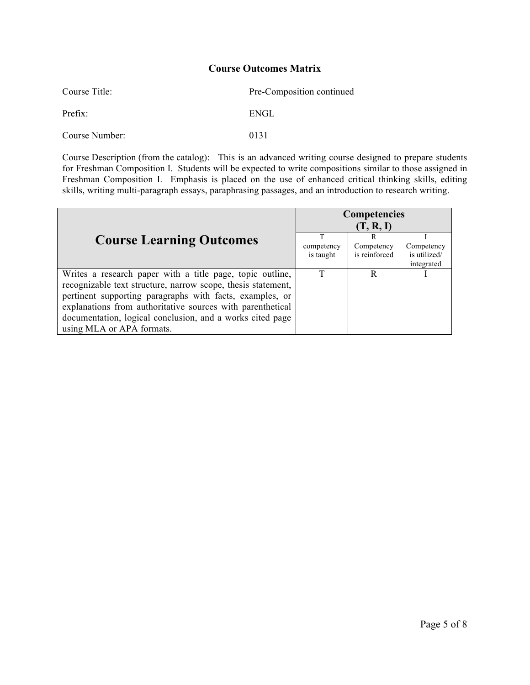| Course Title:  | Pre-Composition continued |  |
|----------------|---------------------------|--|
| Prefix:        | ENGL                      |  |
| Course Number: | 0131                      |  |

Course Description (from the catalog): This is an advanced writing course designed to prepare students for Freshman Composition I. Students will be expected to write compositions similar to those assigned in Freshman Composition I. Emphasis is placed on the use of enhanced critical thinking skills, editing skills, writing multi-paragraph essays, paraphrasing passages, and an introduction to research writing.

|                                                              | <b>Competencies</b> |               |              |
|--------------------------------------------------------------|---------------------|---------------|--------------|
|                                                              | (T, R, I)           |               |              |
| <b>Course Learning Outcomes</b>                              | т                   | R             |              |
|                                                              | competency          | Competency    | Competency   |
|                                                              | is taught           | is reinforced | is utilized/ |
|                                                              |                     |               | integrated   |
| Writes a research paper with a title page, topic outline,    | T                   | R             |              |
| recognizable text structure, narrow scope, thesis statement, |                     |               |              |
| pertinent supporting paragraphs with facts, examples, or     |                     |               |              |
| explanations from authoritative sources with parenthetical   |                     |               |              |
| documentation, logical conclusion, and a works cited page    |                     |               |              |
| using MLA or APA formats.                                    |                     |               |              |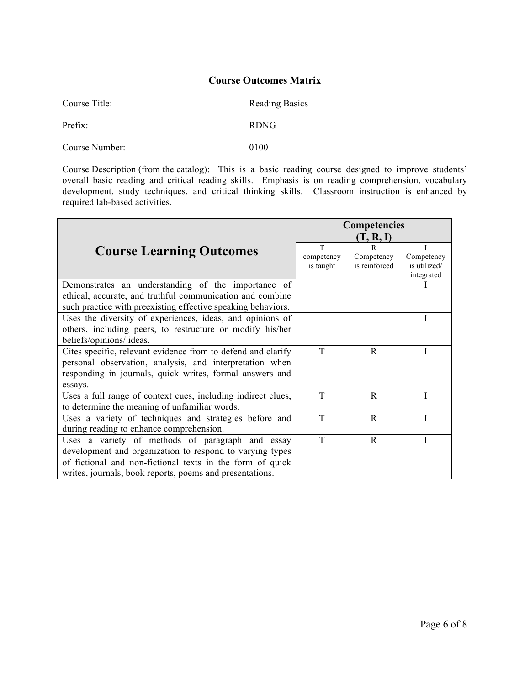| Course Title:  | <b>Reading Basics</b> |
|----------------|-----------------------|
| Prefix:        | <b>RDNG</b>           |
| Course Number: | 0100                  |

Course Description (from the catalog): This is a basic reading course designed to improve students' overall basic reading and critical reading skills. Emphasis is on reading comprehension, vocabulary development, study techniques, and critical thinking skills. Classroom instruction is enhanced by required lab-based activities.

|                                                              | <b>Competencies</b> |               |                            |
|--------------------------------------------------------------|---------------------|---------------|----------------------------|
|                                                              | (T, R, I)           |               |                            |
| <b>Course Learning Outcomes</b>                              | T                   | R             |                            |
|                                                              | competency          | Competency    | Competency                 |
|                                                              | is taught           | is reinforced | is utilized/<br>integrated |
| Demonstrates an understanding of the importance of           |                     |               |                            |
| ethical, accurate, and truthful communication and combine    |                     |               |                            |
| such practice with preexisting effective speaking behaviors. |                     |               |                            |
| Uses the diversity of experiences, ideas, and opinions of    |                     |               |                            |
| others, including peers, to restructure or modify his/her    |                     |               |                            |
| beliefs/opinions/ ideas.                                     |                     |               |                            |
| Cites specific, relevant evidence from to defend and clarify | T                   | R             |                            |
| personal observation, analysis, and interpretation when      |                     |               |                            |
| responding in journals, quick writes, formal answers and     |                     |               |                            |
| essays.                                                      |                     |               |                            |
| Uses a full range of context cues, including indirect clues, | T                   | R             |                            |
| to determine the meaning of unfamiliar words.                |                     |               |                            |
| Uses a variety of techniques and strategies before and       | T                   | $\mathbb{R}$  |                            |
| during reading to enhance comprehension.                     |                     |               |                            |
| Uses a variety of methods of paragraph and essay             | T                   | $\mathbf R$   |                            |
| development and organization to respond to varying types     |                     |               |                            |
| of fictional and non-fictional texts in the form of quick    |                     |               |                            |
| writes, journals, book reports, poems and presentations.     |                     |               |                            |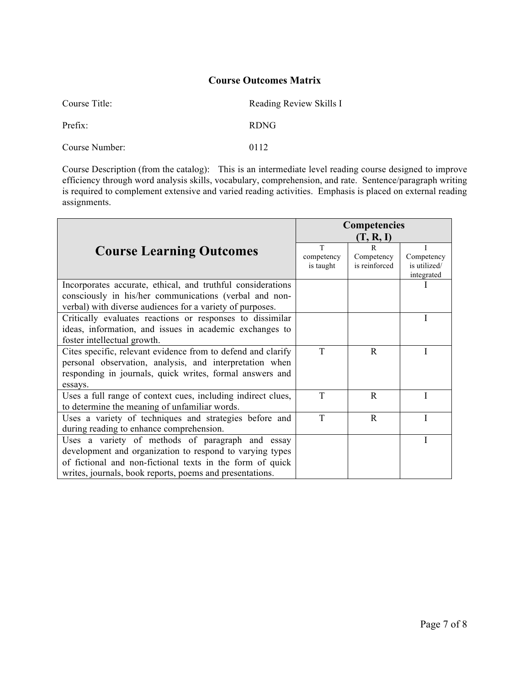| Course Title:  | Reading Review Skills I |  |  |
|----------------|-------------------------|--|--|
| Prefix:        | <b>RDNG</b>             |  |  |
| Course Number: | 0112                    |  |  |

Course Description (from the catalog): This is an intermediate level reading course designed to improve efficiency through word analysis skills, vocabulary, comprehension, and rate. Sentence/paragraph writing is required to complement extensive and varied reading activities. Emphasis is placed on external reading assignments.

|                                                              | <b>Competencies</b> |               |                            |
|--------------------------------------------------------------|---------------------|---------------|----------------------------|
|                                                              |                     | (T, R, I)     |                            |
| <b>Course Learning Outcomes</b>                              | T                   | $\mathsf{R}$  | I                          |
|                                                              | competency          | Competency    | Competency                 |
|                                                              | is taught           | is reinforced | is utilized/<br>integrated |
| Incorporates accurate, ethical, and truthful considerations  |                     |               |                            |
| consciously in his/her communications (verbal and non-       |                     |               |                            |
| verbal) with diverse audiences for a variety of purposes.    |                     |               |                            |
| Critically evaluates reactions or responses to dissimilar    |                     |               |                            |
| ideas, information, and issues in academic exchanges to      |                     |               |                            |
| foster intellectual growth.                                  |                     |               |                            |
| Cites specific, relevant evidence from to defend and clarify | T                   | $\mathbf R$   |                            |
| personal observation, analysis, and interpretation when      |                     |               |                            |
| responding in journals, quick writes, formal answers and     |                     |               |                            |
| essays.                                                      |                     |               |                            |
| Uses a full range of context cues, including indirect clues, | T                   | $\mathbb{R}$  |                            |
| to determine the meaning of unfamiliar words.                |                     |               |                            |
| Uses a variety of techniques and strategies before and       | T                   | $\mathbb{R}$  |                            |
| during reading to enhance comprehension.                     |                     |               |                            |
| Uses a variety of methods of paragraph and essay             |                     |               |                            |
| development and organization to respond to varying types     |                     |               |                            |
| of fictional and non-fictional texts in the form of quick    |                     |               |                            |
| writes, journals, book reports, poems and presentations.     |                     |               |                            |